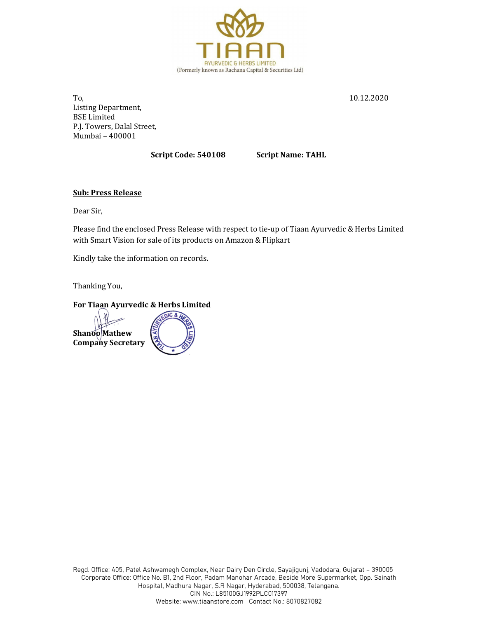

 $\Gamma$ o,  $\frac{10.12.2020}{10.12.2020}$ Listing Department, BSE Limited P.J. Towers, Dalal Street, Mumbai – 400001

Script Code: 540108 Script Name: TAHL

# Sub: Press Release

Dear Sir,

Please find the enclosed Press Release with respect to tie-up of Tiaan Ayurvedic & Herbs Limited with Smart Vision for sale of its products on Amazon & Flipkart

Kindly take the information on records.

Thanking You,

## For Tiaan Ayurvedic & Herbs Limited

Shanoo Mathew Company Secretary